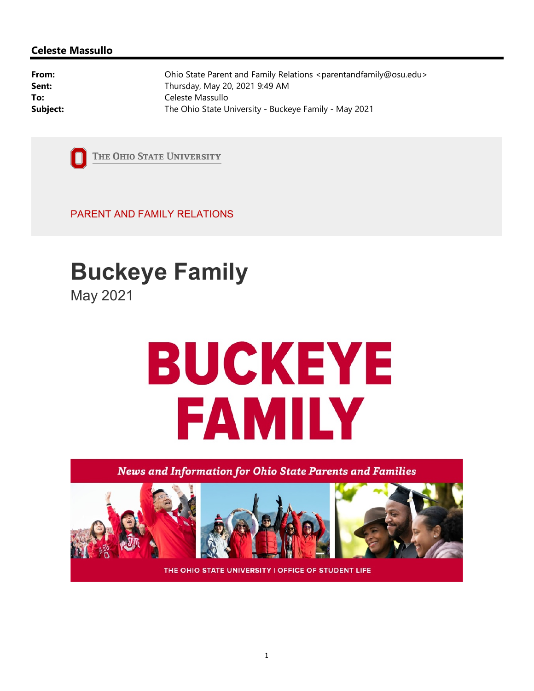#### Celeste Massullo

From: Chio State Parent and Family Relations <parentandfamily@osu.edu> **Sent:** Thursday, May 20, 2021 9:49 AM To: Celeste Massullo **Subject:** The Ohio State University - Buckeye Family - May 2021



THE OHIO STATE UNIVERSITY

PARENT AND FAMILY RELATIONS

# Buckeye Family

May 2021

# **BUCKEYE FAMILY**

News and Information for Ohio State Parents and Families



THE OHIO STATE UNIVERSITY | OFFICE OF STUDENT LIFE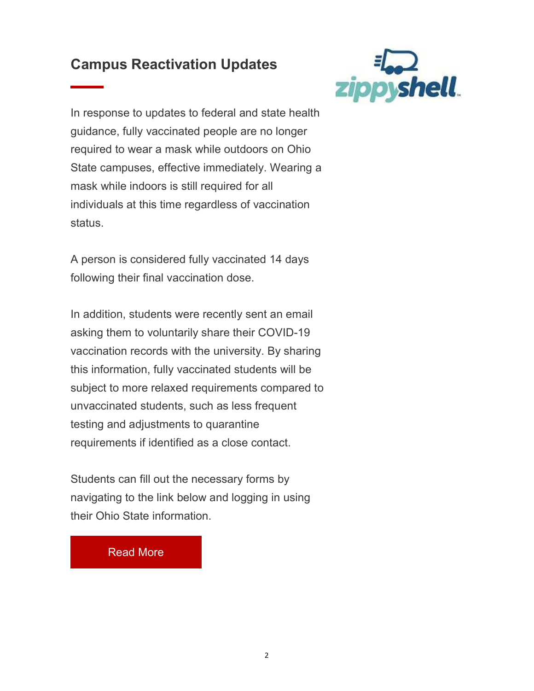# Campus Reactivation Updates



In response to updates to federal and state health guidance, fully vaccinated people are no longer required to wear a mask while outdoors on Ohio State campuses, effective immediately. Wearing a mask while indoors is still required for all individuals at this time regardless of vaccination status.

A person is considered fully vaccinated 14 days following their final vaccination dose.

In addition, students were recently sent an email asking them to voluntarily share their COVID-19 vaccination records with the university. By sharing this information, fully vaccinated students will be subject to more relaxed requirements compared to unvaccinated students, such as less frequent testing and adjustments to quarantine requirements if identified as a close contact.

Students can fill out the necessary forms by navigating to the link below and logging in using their Ohio State information.

#### Read More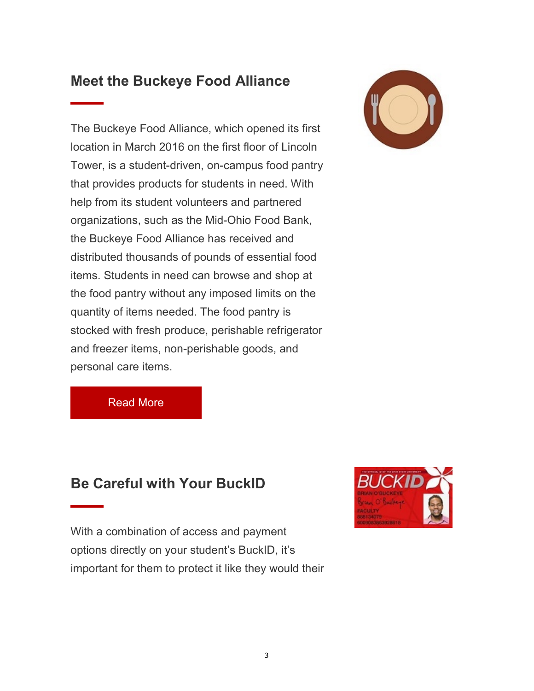### Meet the Buckeye Food Alliance

The Buckeye Food Alliance, which opened its first location in March 2016 on the first floor of Lincoln Tower, is a student-driven, on-campus food pantry that provides products for students in need. With help from its student volunteers and partnered organizations, such as the Mid-Ohio Food Bank, the Buckeye Food Alliance has received and distributed thousands of pounds of essential food items. Students in need can browse and shop at the food pantry without any imposed limits on the quantity of items needed. The food pantry is stocked with fresh produce, perishable refrigerator and freezer items, non-perishable goods, and personal care items.



Read More

#### Be Careful with Your BuckID

With a combination of access and payment options directly on your student's BuckID, it's important for them to protect it like they would their

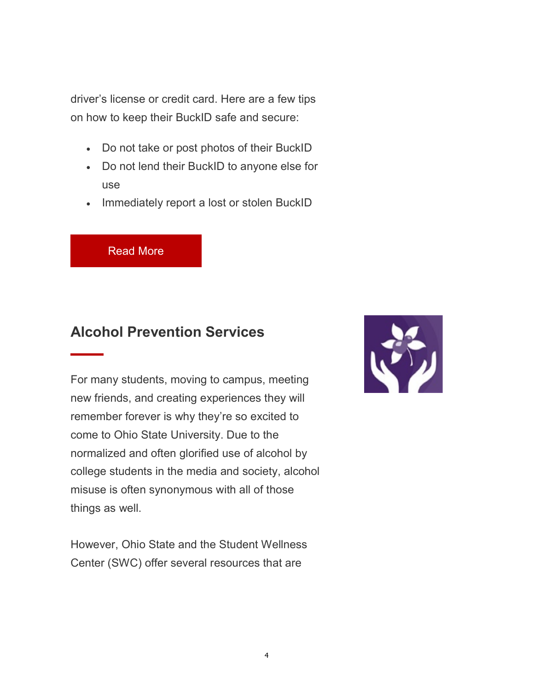driver's license or credit card. Here are a few tips on how to keep their BuckID safe and secure:

- Do not take or post photos of their BuckID
- Do not lend their BuckID to anyone else for use
- Immediately report a lost or stolen BuckID

Read More

# Alcohol Prevention Services

For many students, moving to campus, meeting new friends, and creating experiences they will remember forever is why they're so excited to come to Ohio State University. Due to the normalized and often glorified use of alcohol by college students in the media and society, alcohol misuse is often synonymous with all of those things as well.

However, Ohio State and the Student Wellness Center (SWC) offer several resources that are

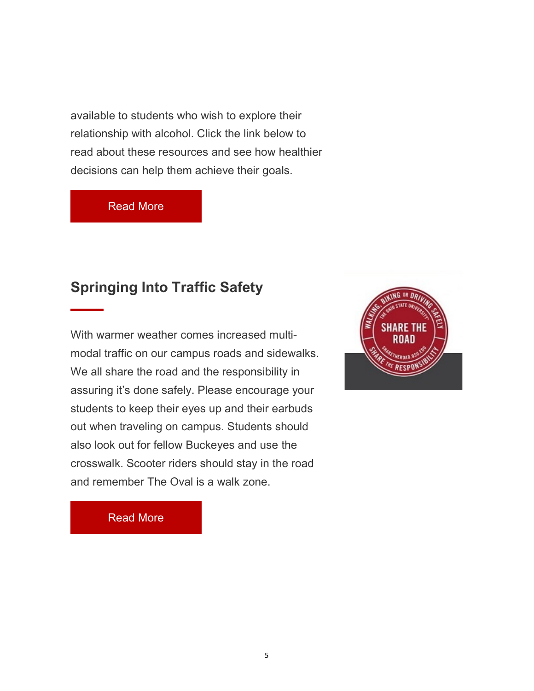available to students who wish to explore their relationship with alcohol. Click the link below to read about these resources and see how healthier decisions can help them achieve their goals.

#### Read More

### Springing Into Traffic Safety

With warmer weather comes increased multimodal traffic on our campus roads and sidewalks. We all share the road and the responsibility in assuring it's done safely. Please encourage your students to keep their eyes up and their earbuds out when traveling on campus. Students should also look out for fellow Buckeyes and use the crosswalk. Scooter riders should stay in the road and remember The Oval is a walk zone.



Read More